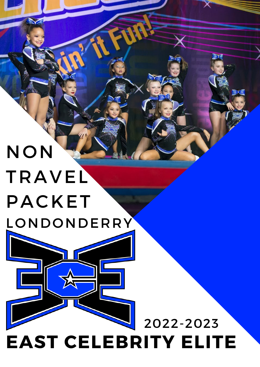# NON TRAVEL PACKET LONDONDERRY

# **EAST CELEBRITY ELITE** 2022-2023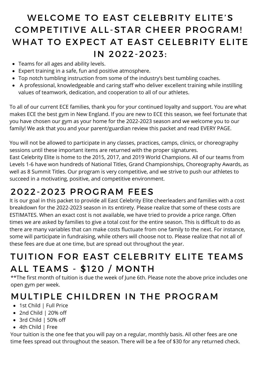## WELCOME TO EAST CELEBRITY ELITE'S COMPETITIVE ALL-STAR CHEER PROGRAM! WHAT TO EXPECT AT EAST CELEBRITY ELITE IN 2022-2023:

- Teams for all ages and ability levels.
- Expert training in a safe, fun and positive atmosphere.
- Top notch tumbling instruction from some of the industry's best tumbling coaches.
- A professional, knowledgeable and caring staff who deliver excellent training while instilling values of teamwork, dedication, and cooperation to all of our athletes.

To all of our current ECE families, thank you for your continued loyalty and support. You are what makes ECE the best gym in New England. If you are new to ECE this season, we feel fortunate that you have chosen our gym as your home for the 2022-2023 season and we welcome you to our family! We ask that you and your parent/guardian review this packet and read EVERY PAGE.

You will not be allowed to participate in any classes, practices, camps, clinics, or choreography sessions until these important items are returned with the proper signatures.

East Celebrity Elite is home to the 2015, 2017, and 2019 World Champions. All of our teams from Levels 1-6 have won hundreds of National Titles, Grand Championships, Choreography Awards, as well as 8 Summit Titles. Our program is very competitive, and we strive to push our athletes to succeed in a motivating, positive, and competitive environment.

### 2022-2023 PROGRAM FEES

It is our goal in this packet to provide all East Celebrity Elite cheerleaders and families with a cost breakdown for the 2022-2023 season in its entirety. Please realize that some of these costs are ESTIMATES. When an exact cost is not available, we have tried to provide a price range. Often times we are asked by families to give a total cost for the entire season. This is difficult to do as there are many variables that can make costs fluctuate from one family to the next. For instance, some will participate in fundraising, while others will choose not to. Please realize that not all of these fees are due at one time, but are spread out throughout the year.

### TUITION FOR EAST CELEBRITY ELITE TEAMS ALL TEAMS - \$120 / MONTH

\*\*The first month of tuition is due the week of June 6th. Please note the above price includes one open gym per week.

### MULTIPLE CHILDREN IN THE PROGRAM

- 1st Child | Full Price
- 2nd Child | 20% off
- 3rd Child | 50% off
- 4th Child | Free

Your tuition is the one fee that you will pay on a regular, monthly basis. All other fees are one time fees spread out throughout the season. There will be a fee of \$30 for any returned check.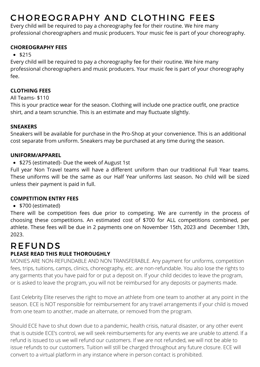# CHOREOGRAPHY AND CLOTHING FEES

Every child will be required to pay a choreography fee for their routine. We hire many professional choreographers and music producers. Your music fee is part of your choreography.

#### **CHOREOGRAPHY FEES**

#### $•$ \$215

Every child will be required to pay a choreography fee for their routine. We hire many professional choreographers and music producers. Your music fee is part of your choreography fee.

#### **CLOTHING FEES**

#### All Teams- \$110

This is your practice wear for the season. Clothing will include one practice outfit, one practice shirt, and a team scrunchie. This is an estimate and may fluctuate slightly.

#### **SNEAKERS**

Sneakers will be available for purchase in the Pro-Shop at your convenience. This is an additional cost separate from uniform. Sneakers may be purchased at any time during the season.

#### **UNIFORM/APPAREL**

• \$275 (estimated)- Due the week of August 1st

Full year Non Travel teams will have a different uniform than our traditional Full Year teams. These uniforms will be the same as our Half Year uniforms last season. No child will be sized unless their payment is paid in full.

#### **COMPETITION ENTRY FEES**

#### • \$700 (estimated)

There will be competition fees due prior to competing. We are currently in the process of choosing these competitions. An estimated cost of \$700 for ALL competitions combined, per athlete. These fees will be due in 2 payments one on November 15th, 2023 and December 13th, 2023.

# REFUNDS

#### **PLEASE READ THIS RULE THOROUGHLY**

MONIES ARE NON-REFUNDABLE AND NON TRANSFERABLE. Any payment for uniforms, competition fees, trips, tuitions, camps, clinics, choreography, etc. are non-refundable. You also lose the rights to any garments that you have paid for or put a deposit on. If your child decides to leave the program, or is asked to leave the program, you will not be reimbursed for any deposits or payments made.

East Celebrity Elite reserves the right to move an athlete from one team to another at any point in the season. ECE is NOT responsible for reimbursement for any travel arrangements if your child is moved from one team to another, made an alternate, or removed from the program.

Should ECE have to shut down due to a pandemic, health crisis, natural disaster, or any other event that is outside ECE's control, we will seek reimbursements for any events we are unable to attend. If a refund is issued to us we will refund our customers. If we are not refunded, we will not be able to issue refunds to our customers. Tuition will still be charged throughout any future closure. ECE will convert to a virtual platform in any instance where in person contact is prohibited.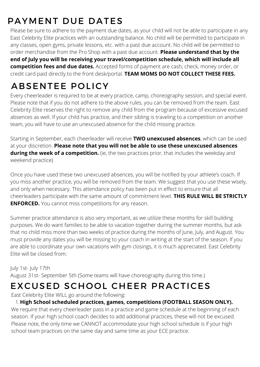# PAYMENT DUE DATES

Please be sure to adhere to the payment due dates, as your child will not be able to participate in any East Celebrity Elite practices with an outstanding balance. No child will be permitted to participate in any classes, open gyms, private lessons, etc. with a past due account. No child will be permitted to order merchandise from the Pro Shop with a past due account. **Please understand that by the end of July you will be receiving your travel/competition schedule, which will include all competition fees and due dates.** Accepted forms of payment are cash, check, money order, or credit card paid directly to the front desk/portal. **TEAM MOMS DO NOT COLLECT THESE FEES.**

# ABSENTEE POLICY

Every cheerleader is required to be at every practice, camp, choreography session, and special event. Please note that if you do not adhere to the above rules, you can be removed from the team. East Celebrity Elite reserves the right to remove any child from the program because of excessive excused absences as well. If your child has practice, and their sibling is traveling to a competition on another team, you will have to use an unexcused absence for the child missing practice.

Starting in September, each cheerleader will receive **TWO unexcused absences**, which can be used at your discretion. **Please note that you will not be able to use these unexcused absences** during the week of a competition. (ie, the two practices prior, that includes the weekday and weekend practice)

Once you have used these two unexcused absences, you will be notified by your athlete's coach. If you miss another practice, you will be removed from the team. We suggest that you use these wisely, and only when necessary. This attendance policy has been put in effect to ensure that all cheerleaders participate with the same amount of commitment level. **THIS RULE WILL BE STRICTLY ENFORCED.** You cannot miss competitions for any reason.

Summer practice attendance is also very important, as we utilize these months for skill building purposes. We do want families to be able to vacation together during the summer months, but ask that no child miss more than two weeks of practice during the months of June, July, and August. You must provide any dates you will be missing to your coach in writing at the start of the season. If you are able to coordinate your own vacations with gym closings, it is much appreciated. East Celebrity Elite will be closed from:

#### July 1st- July 17th

August 31st- September 5th (Some teams will have choreography during this time.)

### EXCUSED SCHOOL CHEER PRACTICES

East Celebrity Elite WILL go around the following:

#### **High School scheduled practices, games, competitions (FOOTBALL SEASON ONLY).** 1.

We require that every cheerleader pass in a practice and game schedule at the beginning of each season. If your high school coach decides to add additional practices, these will not be excused. Please note, the only time we CANNOT accommodate your high school schedule is if your high school team practices on the same day and same time as your ECE practice.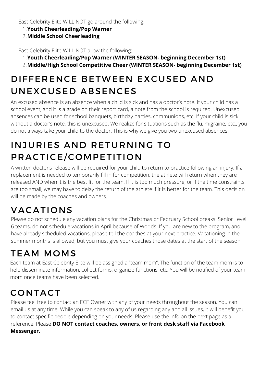East Celebrity Elite WILL NOT go around the following:

- **Youth Cheerleading/Pop Warner** 1.
- **Middle School Cheerleading** 2.

East Celebrity Elite WILL NOT allow the following:

- **Youth Cheerleading/Pop Warner (WINTER SEASON- beginning December 1st)** 1.
- **Middle/High School Competitive Cheer (WINTER SEASON- beginning December 1st)** 2.

# DIFFERENCE BETWEEN EXCUSED AND UNEXCUSED ABSENCES

An excused absence is an absence when a child is sick and has a doctor's note. If your child has a school event, and it is a grade on their report card, a note from the school is required. Unexcused absences can be used for school banquets, birthday parties, communions, etc. If your child is sick without a doctor's note, this is unexcused. We realize for situations such as the flu, migraine, etc., you do not always take your child to the doctor. This is why we give you two unexcused absences.

# INJURIES AND RETURNING TO PRACTICE/COMPETITION

A written doctor's release will be required for your child to return to practice following an injury. If a replacement is needed to temporarily fill in for competition, the athlete will return when they are released AND when it is the best fit for the team. If it is too much pressure, or if the time constraints are too small, we may have to delay the return of the athlete if it is better for the team. This decision will be made by the coaches and owners.

# VACATIONS

Please do not schedule any vacation plans for the Christmas or February School breaks. Senior Level 6 teams, do not schedule vacations in April because of Worlds. If you are new to the program, and have already scheduled vacations, please tell the coaches at your next practice. Vacationing in the summer months is allowed, but you must give your coaches those dates at the start of the season.

# TEAM MOMS

Each team at East Celebrity Elite will be assigned a "team mom". The function of the team mom is to help disseminate information, collect forms, organize functions, etc. You will be notified of your team mom once teams have been selected.

# CONTACT

Please feel free to contact an ECE Owner with any of your needs throughout the season. You can email us at any time. While you can speak to any of us regarding any and all issues, it will benefit you to contact specific people depending on your needs. Please use the info on the next page as a reference. Please **DO NOT contact coaches, owners, or front desk staff via Facebook Messenger.**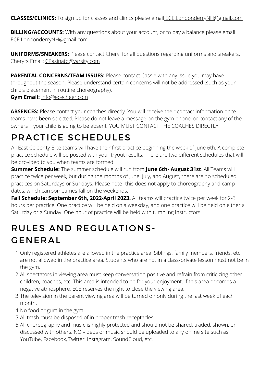**CLASSES/CLINICS:** To sign up for classes and clinics please email [ECE.LondonderryNH@g](mailto:FrontDesk@ececheer.com)mail.com

**BILLING/ACCOUNTS:** With any questions about your account, or to pay a balance please email [EC](mailto:FrontDesk@ececheer.com)E.LondonderryNH@gmail.com

**UNIFORMS/SNEAKERS:** Please contact Cheryl for all questions regarding uniforms and sneakers. Cheryl's Email: [CPasinato@varsity.com](mailto:CPasinato@varsity.com)

**PARENTAL CONCERNS/TEAM ISSUES:** Please contact Cassie with any issue you may have throughout the season. Please understand certain concerns will not be addressed (such as your child's placement in routine choreography).

#### **Gym Email:** [Info@ececheer.com](mailto:Info@ececheer.com)

ABSENCES: Please contact your coaches directly. You will receive their contact information once teams have been selected. Please do not leave a message on the gym phone, or contact any of the owners if your child is going to be absent. YOU MUST CONTACT THE COACHES DIRECTLY!

### PRACTICE SCHEDULES

All East Celebrity Elite teams will have their first practice beginning the week of June 6th. A complete practice schedule will be posted with your tryout results. There are two different schedules that will be provided to you when teams are formed.

**Summer Schedule:** The summer schedule will run from **June 6th- August 31st**. All Teams will practice twice per week, but during the months of June, July, and August, there are no scheduled practices on Saturdays or Sundays. Please note- this does not apply to choreography and camp dates, which can sometimes fall on the weekends.

Fall Schedule: September 6th, 2022-April 2023. All teams will practice twice per week for 2-3 hours per practice. One practice will be held on a weekday, and one practice will be held on either a Saturday or a Sunday. One hour of practice will be held with tumbling instructors.

## RULES AND REGULATIONS-GENERAL

- 1. Only registered athletes are allowed in the practice area. Siblings, family members, friends, etc. are not allowed in the practice area. Students who are not in a class/private lesson must not be in the gym.
- All spectators in viewing area must keep conversation positive and refrain from criticizing other 2. children, coaches, etc. This area is intended to be for your enjoyment. If this area becomes a negative atmosphere, ECE reserves the right to close the viewing area.
- 3.The television in the parent viewing area will be turned on only during the last week of each month.
- 4. No food or gum in the gym.
- 5. All trash must be disposed of in proper trash receptacles.
- All choreography and music is highly protected and should not be shared, traded, shown, or 6.discussed with others. NO videos or music should be uploaded to any online site such as YouTube, Facebook, Twitter, Instagram, SoundCloud, etc.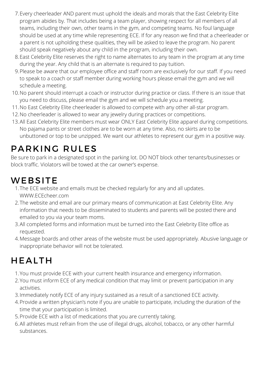- Every cheerleader AND parent must uphold the ideals and morals that the East Celebrity Elite 7. program abides by. That includes being a team player, showing respect for all members of all teams, including their own, other teams in the gym, and competing teams. No foul language should be used at any time while representing ECE. If for any reason we find that a cheerleader or a parent is not upholding these qualities, they will be asked to leave the program. No parent should speak negatively about any child in the program, including their own.
- East Celebrity Elite reserves the right to name alternates to any team in the program at any time 8. during the year. Any child that is an alternate is required to pay tuition.
- Please be aware that our employee office and staff room are exclusively for our staff. If you need 9. to speak to a coach or staff member during working hours please email the gym and we will schedule a meeting.
- 10. No parent should interrupt a coach or instructor during practice or class. If there is an issue that you need to discuss, please email the gym and we will schedule you a meeting.
- 11. No East Celebrity Elite cheerleader is allowed to compete with any other all-star program.
- 12. No cheerleader is allowed to wear any jewelry during practices or competitions.
- 13. All East Celebrity Elite members must wear ONLY East Celebrity Elite apparel during competitions. No pajama pants or street clothes are to be worn at any time. Also, no skirts are to be unbuttoned or top to be unzipped. We want our athletes to represent our gym in a positive way.

## PARKING RULES

Be sure to park in a designated spot in the parking lot. DO NOT block other tenants/businesses or block traffic. Violators will be towed at the car owner's expense.

## **WEBSITE**

- The ECE website and emails must be checked regularly for any and all updates. 1. [WWW.ECEcheer.com](http://www.ececheer.com/)
- 2.The website and email are our primary means of communication at East Celebrity Elite. Any information that needs to be disseminated to students and parents will be posted there and emailed to you via your team moms.
- All completed forms and information must be turned into the East Celebrity Elite office as 3. requested.
- Message boards and other areas of the website must be used appropriately. Abusive language or 4. inappropriate behavior will not be tolerated.

## HEALTH

- 1. You must provide ECE with your current health insurance and emergency information.
- 2. You must inform ECE of any medical condition that may limit or prevent participation in any activities.
- 3. Immediately notify ECE of any injury sustained as a result of a sanctioned ECE activity.
- Provide a written physician's note if you are unable to participate, including the duration of the 4. time that your participation is limited.
- Provide ECE with a list of medications that you are currently taking. 5.
- 6.All athletes must refrain from the use of illegal drugs, alcohol, tobacco, or any other harmful substances.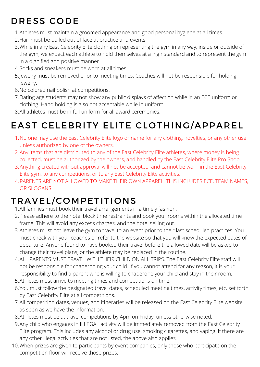# DRESS CODE

- Athletes must maintain a groomed appearance and good personal hygiene at all times. 1.
- 2. Hair must be pulled out of face at practice and events.
- While in any East Celebrity Elite clothing or representing the gym in any way, inside or outside of 3. the gym, we expect each athlete to hold themselves at a high standard and to represent the gym in a dignified and positive manner.
- 4. Socks and sneakers must be worn at all times.
- Jewelry must be removed prior to meeting times. Coaches will not be responsible for holding 5. jewelry.
- 6. No colored nail polish at competitions.
- Dating age students may not show any public displays of affection while in an ECE uniform or 7. clothing. Hand holding is also not acceptable while in uniform.
- All athletes must be in full uniform for all award ceremonies. 8.

# EAST CELEBRITY ELITE CLOTHING/APPAREL

- No one may use the East Celebrity Elite logo or name for any clothing, novelties, or any other use 1. unless authorized by one of the owners.
- Any items that are distributed to any of the East Celebrity Elite athletes, where money is being 2. collected, must be authorized by the owners, and handled by the East Celebrity Elite Pro Shop.
- Anything created without approval will not be accepted, and cannot be worn in the East Celebrity 3. Elite gym, to any competitions, or to any East Celebrity Elite activities.
- PARENTS ARE NOT ALLOWED TO MAKE THEIR OWN APPAREL! THIS INCLUDES ECE, TEAM NAMES, 4. OR SLOGANS!

# TRAVEL/COMPETITIONS

- All families must book their travel arrangements in a timely fashion. 1.
- Please adhere to the hotel block time restraints and book your rooms within the allocated time 2. frame. This will avoid any excess charges, and the hotel selling out.
- Athletes must not leave the gym to travel to an event prior to their last scheduled practices. You 3. must check with your coaches or refer to the website so that you will know the expected dates of departure. Anyone found to have booked their travel before the allowed date will be asked to change their travel plans, or the athlete may be replaced in the routine.
- ALL PARENTS MUST TRAVEL WITH THEIR CHILD ON ALL TRIPS. The East Celebrity Elite staff will 4. not be responsible for chaperoning your child. If you cannot attend for any reason, it is your responsibility to find a parent who is willing to chaperone your child and stay in their room.
- 5. Athletes must arrive to meeting times and competitions on time.
- 6. You must follow the designated travel dates, scheduled meeting times, activity times, etc. set forth by East Celebrity Elite at all competitions.
- All competition dates, venues, and itineraries will be released on the East Celebrity Elite website 7. as soon as we have the information.
- Athletes must be at travel competitions by 4pm on Friday, unless otherwise noted. 8.
- Any child who engages in ILLEGAL activity will be immediately removed from the East Celebrity 9. Elite program. This includes any alcohol or drug use, smoking cigarettes, and vaping. If there are any other illegal activities that are not listed, the above also applies.
- 10. When prizes are given to participants by event companies, only those who participate on the competition floor will receive those prizes.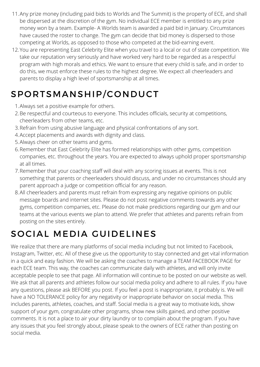- Any prize money (including paid bids to Worlds and The Summit) is the property of ECE, and shall 11. be dispersed at the discretion of the gym. No individual ECE member is entitled to any prize money won by a team. Example- A Worlds team is awarded a paid bid in January. Circumstances have caused the roster to change. The gym can decide that bid money is dispersed to those competing at Worlds, as opposed to those who competed at the bid-earning event.
- 12. You are representing East Celebrity Elite when you travel to a local or out of state competition. We take our reputation very seriously and have worked very hard to be regarded as a respectful program with high morals and ethics. We want to ensure that every child is safe, and in order to do this, we must enforce these rules to the highest degree. We expect all cheerleaders and parents to display a high level of sportsmanship at all times.

# SPORTSMANSHIP/CONDUCT

- Always set a positive example for others. 1.
- 2. Be respectful and courteous to everyone. This includes officials, security at competitions, cheerleaders from other teams, etc.
- 3. Refrain from using abusive language and physical confrontations of any sort.
- Accept placements and awards with dignity and class. 4.
- 5. Always cheer on other teams and gyms.
- 6.Remember that East Celebrity Elite has formed relationships with other gyms, competition companies, etc. throughout the years. You are expected to always uphold proper sportsmanship at all times.
- Remember that your coaching staff will deal with any scoring issues at events. This is not 7. something that parents or cheerleaders should discuss, and under no circumstances should any parent approach a judge or competition official for any reason.
- All cheerleaders and parents must refrain from expressing any negative opinions on public 8. message boards and internet sites. Please do not post negative comments towards any other gyms, competition companies, etc. Please do not make predictions regarding our gym and our teams at the various events we plan to attend. We prefer that athletes and parents refrain from posting on the sites entirely.

### SOCIAL MEDIA GUIDELINES

We realize that there are many platforms of social media including but not limited to Facebook, Instagram, Twitter, etc. All of these give us the opportunity to stay connected and get vital information in a quick and easy fashion. We will be asking the coaches to manage a TEAM FACEBOOK PAGE for each ECE team. This way, the coaches can communicate daily with athletes, and will only invite acceptable people to see that page. All information will continue to be posted on our website as well. We ask that all parents and athletes follow our social media policy and adhere to all rules. If you have any questions, please ask BEFORE you post. If you feel a post is inappropriate, it probably is. We will have a NO TOLERANCE policy for any negativity or inappropriate behavior on social media. This includes parents, athletes, coaches, and staff. Social media is a great way to motivate kids, show support of your gym, congratulate other programs, show new skills gained, and other positive comments. It is not a place to air your dirty laundry or to complain about the program. If you have any issues that you feel strongly about, please speak to the owners of ECE rather than posting on social media.